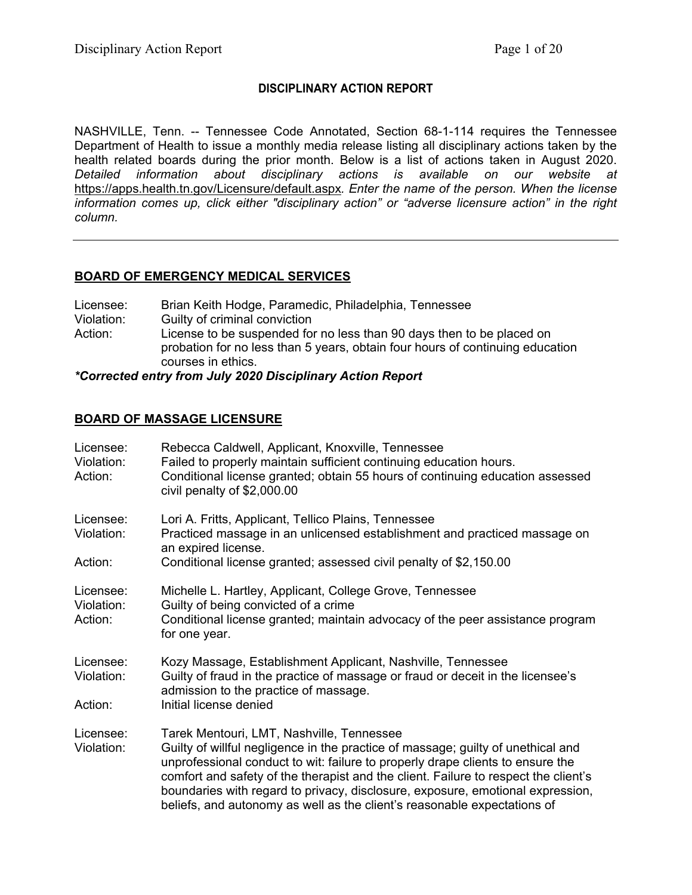## **DISCIPLINARY ACTION REPORT**

NASHVILLE, Tenn. -- Tennessee Code Annotated, Section 68-1-114 requires the Tennessee Department of Health to issue a monthly media release listing all disciplinary actions taken by the health related boards during the prior month. Below is a list of actions taken in August 2020. *Detailed information about disciplinary actions is available on our website at*  https://apps.health.tn.gov/Licensure/default.aspx*. Enter the name of the person. When the license information comes up, click either "disciplinary action" or "adverse licensure action" in the right column.* 

## **BOARD OF EMERGENCY MEDICAL SERVICES**

| Licensee:  | Brian Keith Hodge, Paramedic, Philadelphia, Tennessee                                                                                                                        |
|------------|------------------------------------------------------------------------------------------------------------------------------------------------------------------------------|
| Violation: | Guilty of criminal conviction                                                                                                                                                |
| Action:    | License to be suspended for no less than 90 days then to be placed on<br>probation for no less than 5 years, obtain four hours of continuing education<br>courses in ethics. |

*\*Corrected entry from July 2020 Disciplinary Action Report*

## **BOARD OF MASSAGE LICENSURE**

| Licensee:<br>Violation:<br>Action: | Rebecca Caldwell, Applicant, Knoxville, Tennessee<br>Failed to properly maintain sufficient continuing education hours.<br>Conditional license granted; obtain 55 hours of continuing education assessed<br>civil penalty of $$2,000.00$                                                                                                                                                                                                                             |
|------------------------------------|----------------------------------------------------------------------------------------------------------------------------------------------------------------------------------------------------------------------------------------------------------------------------------------------------------------------------------------------------------------------------------------------------------------------------------------------------------------------|
| Licensee:<br>Violation:            | Lori A. Fritts, Applicant, Tellico Plains, Tennessee<br>Practiced massage in an unlicensed establishment and practiced massage on<br>an expired license.                                                                                                                                                                                                                                                                                                             |
| Action:                            | Conditional license granted; assessed civil penalty of \$2,150.00                                                                                                                                                                                                                                                                                                                                                                                                    |
| Licensee:<br>Violation:<br>Action: | Michelle L. Hartley, Applicant, College Grove, Tennessee<br>Guilty of being convicted of a crime<br>Conditional license granted; maintain advocacy of the peer assistance program<br>for one year.                                                                                                                                                                                                                                                                   |
| Licensee:<br>Violation:<br>Action: | Kozy Massage, Establishment Applicant, Nashville, Tennessee<br>Guilty of fraud in the practice of massage or fraud or deceit in the licensee's<br>admission to the practice of massage.<br>Initial license denied                                                                                                                                                                                                                                                    |
| Licensee:<br>Violation:            | Tarek Mentouri, LMT, Nashville, Tennessee<br>Guilty of willful negligence in the practice of massage; guilty of unethical and<br>unprofessional conduct to wit: failure to properly drape clients to ensure the<br>comfort and safety of the therapist and the client. Failure to respect the client's<br>boundaries with regard to privacy, disclosure, exposure, emotional expression,<br>beliefs, and autonomy as well as the client's reasonable expectations of |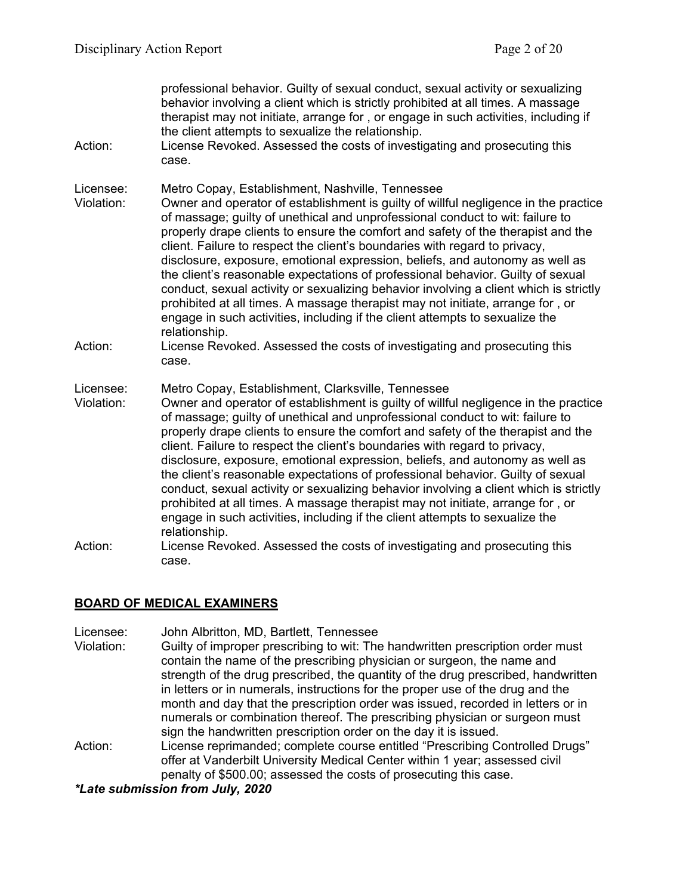| Action:                 | professional behavior. Guilty of sexual conduct, sexual activity or sexualizing<br>behavior involving a client which is strictly prohibited at all times. A massage<br>therapist may not initiate, arrange for, or engage in such activities, including if<br>the client attempts to sexualize the relationship.<br>License Revoked. Assessed the costs of investigating and prosecuting this<br>case.                                                                                                                                                                                                                                                                                                                                                                                                                                      |
|-------------------------|---------------------------------------------------------------------------------------------------------------------------------------------------------------------------------------------------------------------------------------------------------------------------------------------------------------------------------------------------------------------------------------------------------------------------------------------------------------------------------------------------------------------------------------------------------------------------------------------------------------------------------------------------------------------------------------------------------------------------------------------------------------------------------------------------------------------------------------------|
| Licensee:<br>Violation: | Metro Copay, Establishment, Nashville, Tennessee<br>Owner and operator of establishment is guilty of willful negligence in the practice<br>of massage; guilty of unethical and unprofessional conduct to wit: failure to<br>properly drape clients to ensure the comfort and safety of the therapist and the<br>client. Failure to respect the client's boundaries with regard to privacy,<br>disclosure, exposure, emotional expression, beliefs, and autonomy as well as<br>the client's reasonable expectations of professional behavior. Guilty of sexual<br>conduct, sexual activity or sexualizing behavior involving a client which is strictly<br>prohibited at all times. A massage therapist may not initiate, arrange for, or<br>engage in such activities, including if the client attempts to sexualize the<br>relationship.   |
| Action:                 | License Revoked. Assessed the costs of investigating and prosecuting this<br>case.                                                                                                                                                                                                                                                                                                                                                                                                                                                                                                                                                                                                                                                                                                                                                          |
| Licensee:<br>Violation: | Metro Copay, Establishment, Clarksville, Tennessee<br>Owner and operator of establishment is guilty of willful negligence in the practice<br>of massage; guilty of unethical and unprofessional conduct to wit: failure to<br>properly drape clients to ensure the comfort and safety of the therapist and the<br>client. Failure to respect the client's boundaries with regard to privacy,<br>disclosure, exposure, emotional expression, beliefs, and autonomy as well as<br>the client's reasonable expectations of professional behavior. Guilty of sexual<br>conduct, sexual activity or sexualizing behavior involving a client which is strictly<br>prohibited at all times. A massage therapist may not initiate, arrange for, or<br>engage in such activities, including if the client attempts to sexualize the<br>relationship. |
| Action:                 | License Revoked. Assessed the costs of investigating and prosecuting this<br>case.                                                                                                                                                                                                                                                                                                                                                                                                                                                                                                                                                                                                                                                                                                                                                          |

### **BOARD OF MEDICAL EXAMINERS**

- Licensee: John Albritton, MD, Bartlett, Tennessee
- Violation: Guilty of improper prescribing to wit: The handwritten prescription order must contain the name of the prescribing physician or surgeon, the name and strength of the drug prescribed, the quantity of the drug prescribed, handwritten in letters or in numerals, instructions for the proper use of the drug and the month and day that the prescription order was issued, recorded in letters or in numerals or combination thereof. The prescribing physician or surgeon must sign the handwritten prescription order on the day it is issued.
- Action: License reprimanded; complete course entitled "Prescribing Controlled Drugs" offer at Vanderbilt University Medical Center within 1 year; assessed civil penalty of \$500.00; assessed the costs of prosecuting this case.

*\*Late submission from July, 2020*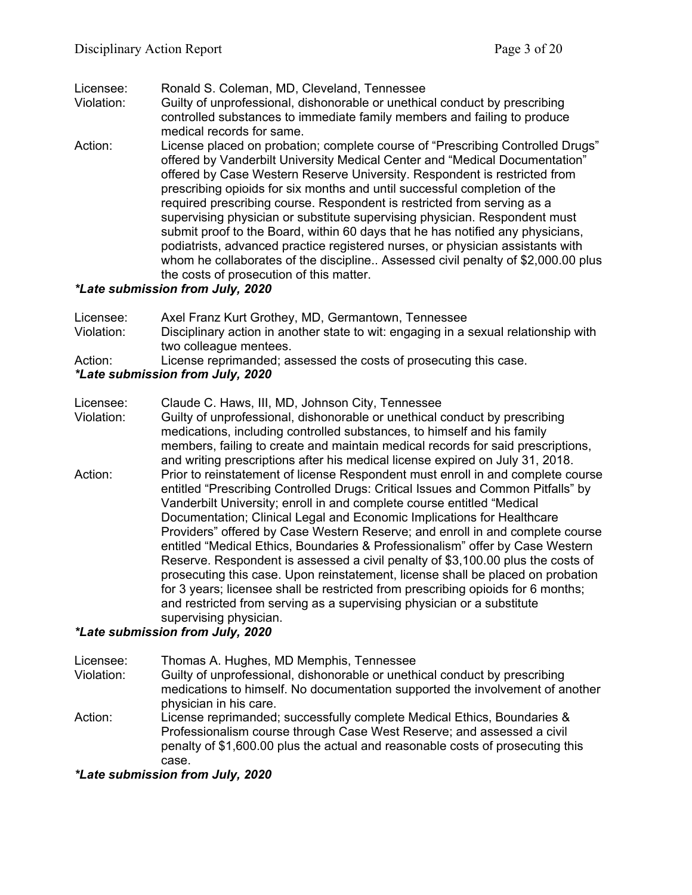### Licensee: Ronald S. Coleman, MD, Cleveland, Tennessee

- Violation: Guilty of unprofessional, dishonorable or unethical conduct by prescribing controlled substances to immediate family members and failing to produce medical records for same.
- Action: License placed on probation; complete course of "Prescribing Controlled Drugs" offered by Vanderbilt University Medical Center and "Medical Documentation" offered by Case Western Reserve University. Respondent is restricted from prescribing opioids for six months and until successful completion of the required prescribing course. Respondent is restricted from serving as a supervising physician or substitute supervising physician. Respondent must submit proof to the Board, within 60 days that he has notified any physicians, podiatrists, advanced practice registered nurses, or physician assistants with whom he collaborates of the discipline.. Assessed civil penalty of \$2,000.00 plus the costs of prosecution of this matter.

### *\*Late submission from July, 2020*

| Licensee:  | Axel Franz Kurt Grothey, MD, Germantown, Tennessee                                  |
|------------|-------------------------------------------------------------------------------------|
| Violation: | Disciplinary action in another state to wit: engaging in a sexual relationship with |
|            | two colleague mentees.                                                              |
| Action:    | License reprimanded; assessed the costs of prosecuting this case.                   |
|            | *Late submission from July, 2020                                                    |

Licensee: Claude C. Haws, III, MD, Johnson City, Tennessee Violation: Guilty of unprofessional, dishonorable or unethical conduct by prescribing medications, including controlled substances, to himself and his family members, failing to create and maintain medical records for said prescriptions, and writing prescriptions after his medical license expired on July 31, 2018. Action: Prior to reinstatement of license Respondent must enroll in and complete course entitled "Prescribing Controlled Drugs: Critical Issues and Common Pitfalls" by Vanderbilt University; enroll in and complete course entitled "Medical Documentation; Clinical Legal and Economic Implications for Healthcare Providers" offered by Case Western Reserve; and enroll in and complete course entitled "Medical Ethics, Boundaries & Professionalism" offer by Case Western Reserve. Respondent is assessed a civil penalty of \$3,100.00 plus the costs of prosecuting this case. Upon reinstatement, license shall be placed on probation for 3 years; licensee shall be restricted from prescribing opioids for 6 months; and restricted from serving as a supervising physician or a substitute supervising physician.

## *\*Late submission from July, 2020*

Licensee: Thomas A. Hughes, MD Memphis, Tennessee

Violation: Guilty of unprofessional, dishonorable or unethical conduct by prescribing medications to himself. No documentation supported the involvement of another physician in his care.

Action: License reprimanded; successfully complete Medical Ethics, Boundaries & Professionalism course through Case West Reserve; and assessed a civil penalty of \$1,600.00 plus the actual and reasonable costs of prosecuting this case.

*\*Late submission from July, 2020*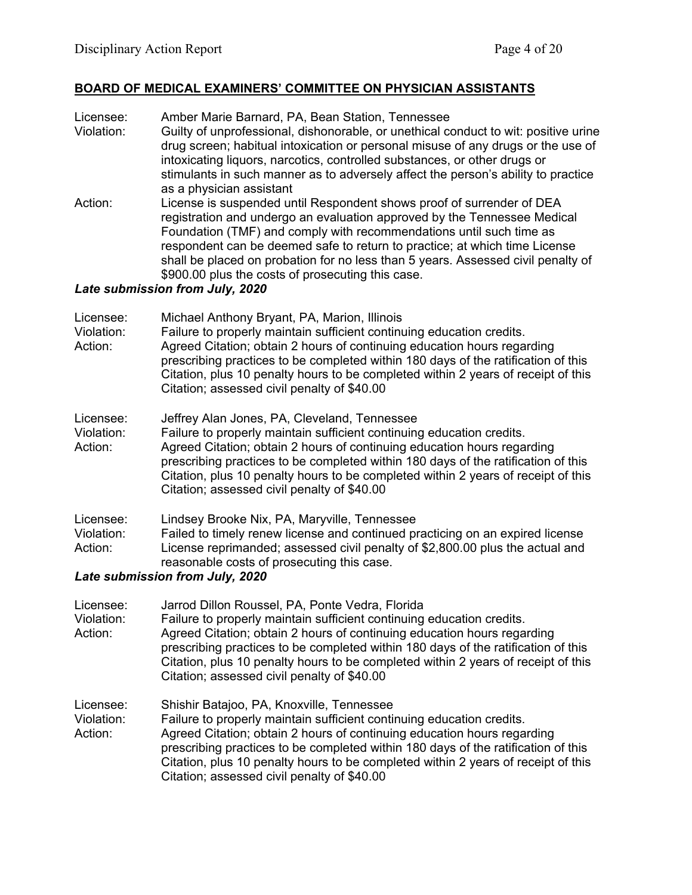## **BOARD OF MEDICAL EXAMINERS' COMMITTEE ON PHYSICIAN ASSISTANTS**

Licensee: Amber Marie Barnard, PA, Bean Station, Tennessee Guilty of unprofessional, dishonorable, or unethical conduct to wit: positive urine drug screen; habitual intoxication or personal misuse of any drugs or the use of intoxicating liquors, narcotics, controlled substances, or other drugs or stimulants in such manner as to adversely affect the person's ability to practice as a physician assistant Action: License is suspended until Respondent shows proof of surrender of DEA registration and undergo an evaluation approved by the Tennessee Medical Foundation (TMF) and comply with recommendations until such time as respondent can be deemed safe to return to practice; at which time License shall be placed on probation for no less than 5 years. Assessed civil penalty of \$900.00 plus the costs of prosecuting this case.

### *Late submission from July, 2020*

| Licensee:<br>Violation:<br>Action: | Michael Anthony Bryant, PA, Marion, Illinois<br>Failure to properly maintain sufficient continuing education credits.<br>Agreed Citation; obtain 2 hours of continuing education hours regarding<br>prescribing practices to be completed within 180 days of the ratification of this<br>Citation, plus 10 penalty hours to be completed within 2 years of receipt of this<br>Citation; assessed civil penalty of \$40.00    |
|------------------------------------|------------------------------------------------------------------------------------------------------------------------------------------------------------------------------------------------------------------------------------------------------------------------------------------------------------------------------------------------------------------------------------------------------------------------------|
| Licensee:<br>Violation:<br>Action: | Jeffrey Alan Jones, PA, Cleveland, Tennessee<br>Failure to properly maintain sufficient continuing education credits.<br>Agreed Citation; obtain 2 hours of continuing education hours regarding<br>prescribing practices to be completed within 180 days of the ratification of this<br>Citation, plus 10 penalty hours to be completed within 2 years of receipt of this<br>Citation; assessed civil penalty of \$40.00    |
| Licensee:<br>Violation:<br>Action: | Lindsey Brooke Nix, PA, Maryville, Tennessee<br>Failed to timely renew license and continued practicing on an expired license<br>License reprimanded; assessed civil penalty of \$2,800.00 plus the actual and<br>reasonable costs of prosecuting this case.<br>Late submission from July, 2020                                                                                                                              |
| Licensee:<br>Violation:<br>Action: | Jarrod Dillon Roussel, PA, Ponte Vedra, Florida<br>Failure to properly maintain sufficient continuing education credits.<br>Agreed Citation; obtain 2 hours of continuing education hours regarding<br>prescribing practices to be completed within 180 days of the ratification of this<br>Citation, plus 10 penalty hours to be completed within 2 years of receipt of this<br>Citation; assessed civil penalty of \$40.00 |
| Licensee:                          | Shishir Batajoo, PA, Knoxville, Tennessee                                                                                                                                                                                                                                                                                                                                                                                    |

Violation: Failure to properly maintain sufficient continuing education credits. Action: Agreed Citation; obtain 2 hours of continuing education hours regarding prescribing practices to be completed within 180 days of the ratification of this Citation, plus 10 penalty hours to be completed within 2 years of receipt of this Citation; assessed civil penalty of \$40.00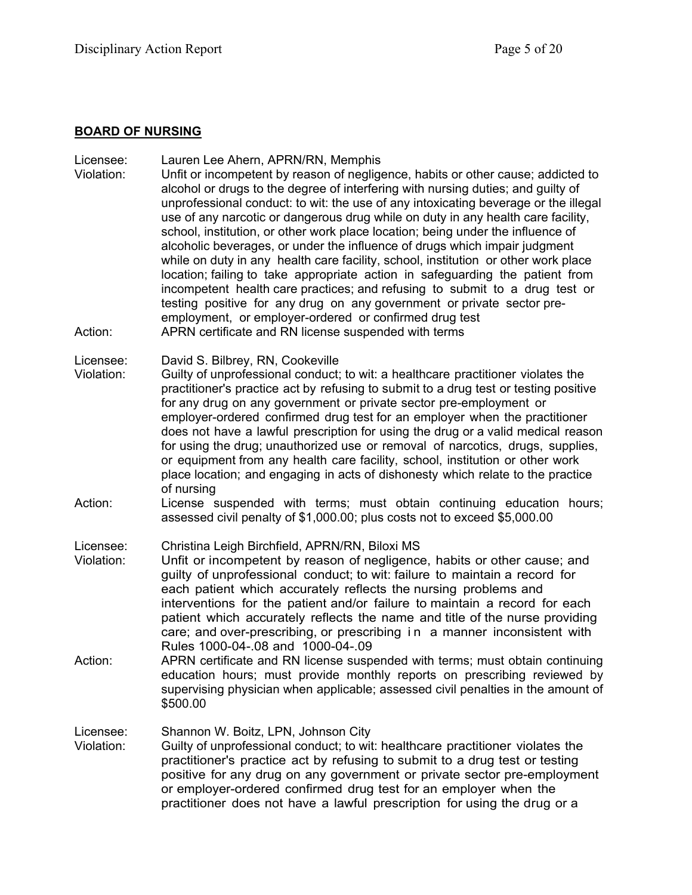## **BOARD OF NURSING**

| Licensee:<br>Violation:<br>Action: | Lauren Lee Ahern, APRN/RN, Memphis<br>Unfit or incompetent by reason of negligence, habits or other cause; addicted to<br>alcohol or drugs to the degree of interfering with nursing duties; and guilty of<br>unprofessional conduct: to wit: the use of any intoxicating beverage or the illegal<br>use of any narcotic or dangerous drug while on duty in any health care facility,<br>school, institution, or other work place location; being under the influence of<br>alcoholic beverages, or under the influence of drugs which impair judgment<br>while on duty in any health care facility, school, institution or other work place<br>location; failing to take appropriate action in safeguarding the patient from<br>incompetent health care practices; and refusing to submit to a drug test or<br>testing positive for any drug on any government or private sector pre-<br>employment, or employer-ordered or confirmed drug test<br>APRN certificate and RN license suspended with terms |
|------------------------------------|----------------------------------------------------------------------------------------------------------------------------------------------------------------------------------------------------------------------------------------------------------------------------------------------------------------------------------------------------------------------------------------------------------------------------------------------------------------------------------------------------------------------------------------------------------------------------------------------------------------------------------------------------------------------------------------------------------------------------------------------------------------------------------------------------------------------------------------------------------------------------------------------------------------------------------------------------------------------------------------------------------|
| Licensee:<br>Violation:            | David S. Bilbrey, RN, Cookeville<br>Guilty of unprofessional conduct; to wit: a healthcare practitioner violates the<br>practitioner's practice act by refusing to submit to a drug test or testing positive<br>for any drug on any government or private sector pre-employment or<br>employer-ordered confirmed drug test for an employer when the practitioner<br>does not have a lawful prescription for using the drug or a valid medical reason<br>for using the drug; unauthorized use or removal of narcotics, drugs, supplies,<br>or equipment from any health care facility, school, institution or other work<br>place location; and engaging in acts of dishonesty which relate to the practice<br>of nursing                                                                                                                                                                                                                                                                                 |
| Action:                            | License suspended with terms; must obtain continuing education hours;<br>assessed civil penalty of \$1,000.00; plus costs not to exceed \$5,000.00                                                                                                                                                                                                                                                                                                                                                                                                                                                                                                                                                                                                                                                                                                                                                                                                                                                       |
| Licensee:<br>Violation:<br>Action: | Christina Leigh Birchfield, APRN/RN, Biloxi MS<br>Unfit or incompetent by reason of negligence, habits or other cause; and<br>guilty of unprofessional conduct; to wit: failure to maintain a record for<br>each patient which accurately reflects the nursing problems and<br>interventions for the patient and/or failure to maintain a record for each<br>patient which accurately reflects the name and title of the nurse providing<br>care; and over-prescribing, or prescribing in a manner inconsistent with<br>Rules 1000-04-.08 and 1000-04-.09<br>APRN certificate and RN license suspended with terms; must obtain continuing                                                                                                                                                                                                                                                                                                                                                                |
|                                    | education hours; must provide monthly reports on prescribing reviewed by<br>supervising physician when applicable; assessed civil penalties in the amount of<br>\$500.00                                                                                                                                                                                                                                                                                                                                                                                                                                                                                                                                                                                                                                                                                                                                                                                                                                 |
| Licensee:<br>Violation:            | Shannon W. Boitz, LPN, Johnson City<br>Guilty of unprofessional conduct; to wit: healthcare practitioner violates the<br>practitioner's practice act by refusing to submit to a drug test or testing<br>positive for any drug on any government or private sector pre-employment<br>or employer-ordered confirmed drug test for an employer when the<br>practitioner does not have a lawful prescription for using the drug or a                                                                                                                                                                                                                                                                                                                                                                                                                                                                                                                                                                         |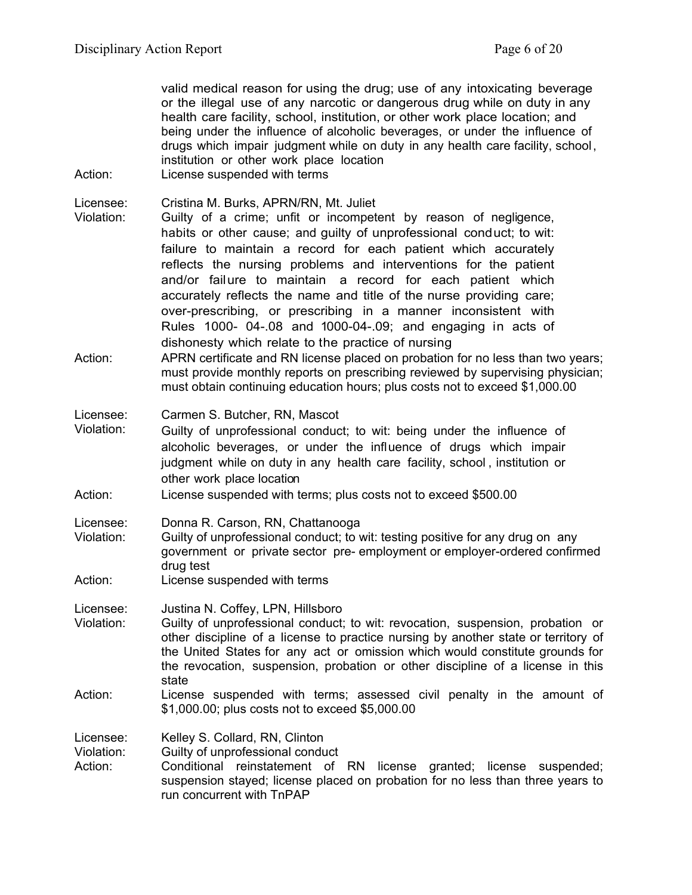valid medical reason for using the drug; use of any intoxicating beverage or the illegal use of any narcotic or dangerous drug while on duty in any health care facility, school, institution, or other work place location; and being under the influence of alcoholic beverages, or under the influence of drugs which impair judgment while on duty in any health care facility, school, institution or other work place location

Action: License suspended with terms

Licensee: Cristina M. Burks, APRN/RN, Mt. Juliet

- Violation: Guilty of a crime; unfit or incompetent by reason of negligence, habits or other cause; and guilty of unprofessional conduct; to wit: failure to maintain a record for each patient which accurately reflects the nursing problems and interventions for the patient and/or failure to maintain a record for each patient which accurately reflects the name and title of the nurse providing care; over-prescribing, or prescribing in a manner inconsistent with Rules 1000- 04-.08 and 1000-04-.09; and engaging in acts of dishonesty which relate to the practice of nursing
- Action: APRN certificate and RN license placed on probation for no less than two vears: must provide monthly reports on prescribing reviewed by supervising physician; must obtain continuing education hours; plus costs not to exceed \$1,000.00

Licensee: Carmen S. Butcher, RN, Mascot

- Violation: Guilty of unprofessional conduct; to wit: being under the influence of alcoholic beverages, or under the influence of drugs which impair judgment while on duty in any health care facility, school , institution or other work place location
- Action: License suspended with terms; plus costs not to exceed \$500.00

Licensee: Donna R. Carson, RN, Chattanooga

- Violation: Guilty of unprofessional conduct; to wit: testing positive for any drug on any government or private sector pre- employment or employer-ordered confirmed drug test
- Action: License suspended with terms

Licensee: Justina N. Coffey, LPN, Hillsboro

- Violation: Guilty of unprofessional conduct; to wit: revocation, suspension, probation or other discipline of a license to practice nursing by another state or territory of the United States for any act or omission which would constitute grounds for the revocation, suspension, probation or other discipline of a license in this state
- Action: License suspended with terms; assessed civil penalty in the amount of \$1,000.00; plus costs not to exceed \$5,000.00

Licensee: Kelley S. Collard, RN, Clinton

Violation: Guilty of unprofessional conduct

Action: Conditional reinstatement of RN license granted; license suspended; suspension stayed; license placed on probation for no less than three years to run concurrent with TnPAP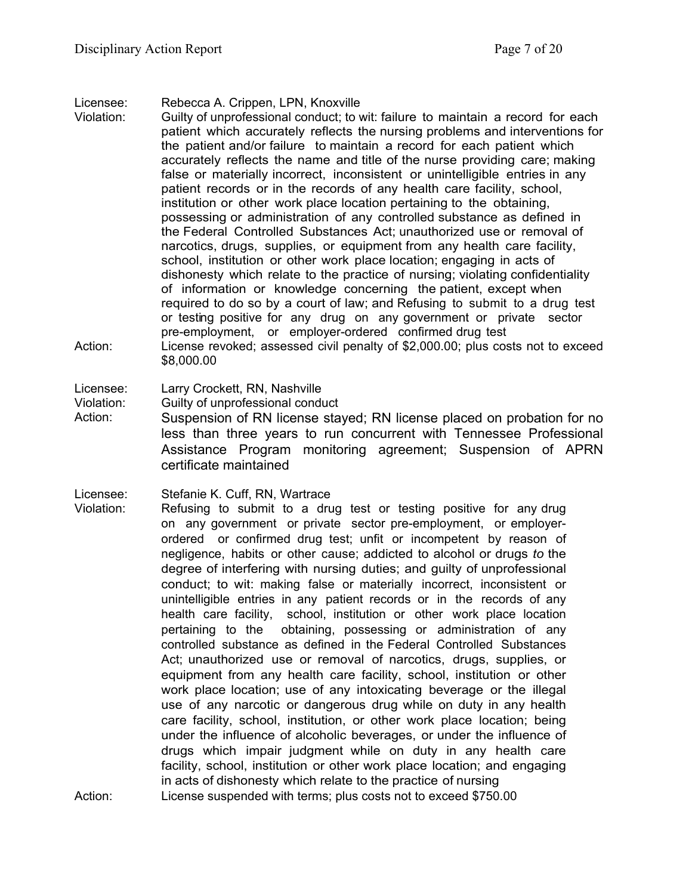Licensee: Rebecca A. Crippen, LPN, Knoxville

Violation: Guilty of unprofessional conduct; to wit: failure to maintain a record for each patient which accurately reflects the nursing problems and interventions for the patient and/or failure to maintain a record for each patient which accurately reflects the name and title of the nurse providing care; making false or materially incorrect, inconsistent or unintelligible entries in any patient records or in the records of any health care facility, school, institution or other work place location pertaining to the obtaining, possessing or administration of any controlled substance as defined in the Federal Controlled Substances Act; unauthorized use or removal of narcotics, drugs, supplies, or equipment from any health care facility, school, institution or other work place location; engaging in acts of dishonesty which relate to the practice of nursing; violating confidentiality of information or knowledge concerning the patient, except when required to do so by a court of law; and Refusing to submit to a drug test or testing positive for any drug on any government or private sector pre-employment, or employer-ordered confirmed drug test Action: License revoked; assessed civil penalty of \$2,000.00; plus costs not to exceed \$8,000.00

Licensee: Larry Crockett, RN, Nashville

Violation: Guilty of unprofessional conduct

Action: Suspension of RN license stayed; RN license placed on probation for no less than three years to run concurrent with Tennessee Professional Assistance Program monitoring agreement; Suspension of APRN certificate maintained

Licensee: Stefanie K. Cuff, RN, Wartrace

Violation: Refusing to submit to a drug test or testing positive for any drug on any government or private sector pre-employment, or employerordered or confirmed drug test; unfit or incompetent by reason of negligence, habits or other cause; addicted to alcohol or drugs *to* the degree of interfering with nursing duties; and guilty of unprofessional conduct; to wit: making false or materially incorrect, inconsistent or unintelligible entries in any patient records or in the records of any health care facility, school, institution or other work place location pertaining to the obtaining, possessing or administration of any controlled substance as defined in the Federal Controlled Substances Act; unauthorized use or removal of narcotics, drugs, supplies, or equipment from any health care facility, school, institution or other work place location; use of any intoxicating beverage or the illegal use of any narcotic or dangerous drug while on duty in any health care facility, school, institution, or other work place location; being under the influence of alcoholic beverages, or under the influence of drugs which impair judgment while on duty in any health care facility, school, institution or other work place location; and engaging in acts of dishonesty which relate to the practice of nursing

Action: License suspended with terms; plus costs not to exceed \$750.00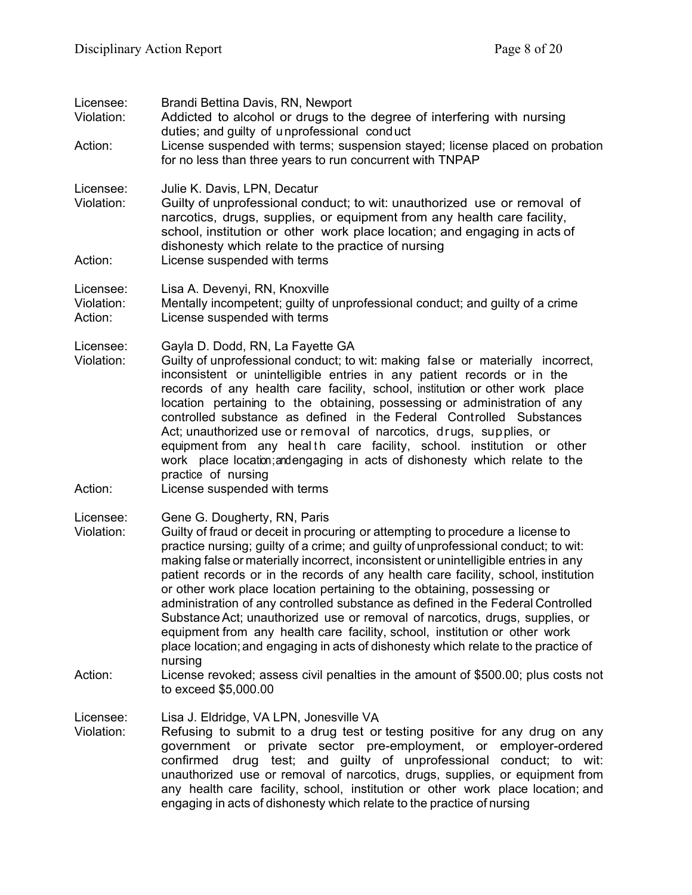| Licensee:<br>Violation:<br>Action: | Brandi Bettina Davis, RN, Newport<br>Addicted to alcohol or drugs to the degree of interfering with nursing<br>duties; and guilty of unprofessional conduct<br>License suspended with terms; suspension stayed; license placed on probation<br>for no less than three years to run concurrent with TNPAP                                                                                                                                                                                                                                                                                                                                                                                                                                                                                                       |
|------------------------------------|----------------------------------------------------------------------------------------------------------------------------------------------------------------------------------------------------------------------------------------------------------------------------------------------------------------------------------------------------------------------------------------------------------------------------------------------------------------------------------------------------------------------------------------------------------------------------------------------------------------------------------------------------------------------------------------------------------------------------------------------------------------------------------------------------------------|
| Licensee:<br>Violation:            | Julie K. Davis, LPN, Decatur<br>Guilty of unprofessional conduct; to wit: unauthorized use or removal of<br>narcotics, drugs, supplies, or equipment from any health care facility,<br>school, institution or other work place location; and engaging in acts of<br>dishonesty which relate to the practice of nursing                                                                                                                                                                                                                                                                                                                                                                                                                                                                                         |
| Action:                            | License suspended with terms                                                                                                                                                                                                                                                                                                                                                                                                                                                                                                                                                                                                                                                                                                                                                                                   |
| Licensee:<br>Violation:<br>Action: | Lisa A. Devenyi, RN, Knoxville<br>Mentally incompetent; guilty of unprofessional conduct; and guilty of a crime<br>License suspended with terms                                                                                                                                                                                                                                                                                                                                                                                                                                                                                                                                                                                                                                                                |
| Licensee:<br>Violation:            | Gayla D. Dodd, RN, La Fayette GA<br>Guilty of unprofessional conduct; to wit: making false or materially incorrect,<br>inconsistent or unintelligible entries in any patient records or in the<br>records of any health care facility, school, institution or other work place<br>location pertaining to the obtaining, possessing or administration of any<br>controlled substance as defined in the Federal Controlled Substances<br>Act; unauthorized use or removal of narcotics, drugs, supplies, or<br>equipment from any health care facility, school. institution or other<br>work place location; and engaging in acts of dishonesty which relate to the<br>practice of nursing                                                                                                                       |
| Action:                            | License suspended with terms                                                                                                                                                                                                                                                                                                                                                                                                                                                                                                                                                                                                                                                                                                                                                                                   |
| Licensee:<br>Violation:            | Gene G. Dougherty, RN, Paris<br>Guilty of fraud or deceit in procuring or attempting to procedure a license to<br>practice nursing; guilty of a crime; and guilty of unprofessional conduct; to wit:<br>making false or materially incorrect, inconsistent or unintelligible entries in any<br>patient records or in the records of any health care facility, school, institution<br>or other work place location pertaining to the obtaining, possessing or<br>administration of any controlled substance as defined in the Federal Controlled<br>Substance Act; unauthorized use or removal of narcotics, drugs, supplies, or<br>equipment from any health care facility, school, institution or other work<br>place location; and engaging in acts of dishonesty which relate to the practice of<br>nursing |
| Action:                            | License revoked; assess civil penalties in the amount of \$500.00; plus costs not<br>to exceed \$5,000.00                                                                                                                                                                                                                                                                                                                                                                                                                                                                                                                                                                                                                                                                                                      |
| Licensee:<br>Violation:            | Lisa J. Eldridge, VA LPN, Jonesville VA<br>Refusing to submit to a drug test or testing positive for any drug on any<br>government or private sector pre-employment, or employer-ordered<br>confirmed drug test; and guilty of unprofessional conduct; to wit:<br>unauthorized use or removal of narcotics, drugs, supplies, or equipment from<br>any health care facility, school, institution or other work place location; and<br>engaging in acts of dishonesty which relate to the practice of nursing                                                                                                                                                                                                                                                                                                    |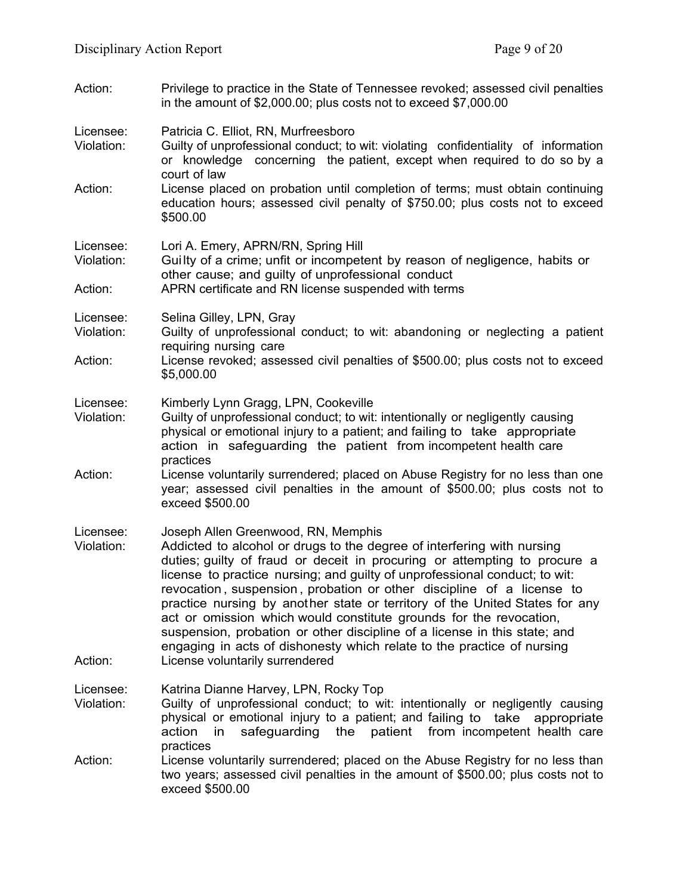- Action: Privilege to practice in the State of Tennessee revoked; assessed civil penalties in the amount of \$2,000.00; plus costs not to exceed \$7,000.00
- Licensee: Patricia C. Elliot, RN, Murfreesboro
- Violation: Guilty of unprofessional conduct; to wit: violating confidentiality of information or knowledge concerning the patient, except when required to do so by a court of law
- Action: License placed on probation until completion of terms; must obtain continuing education hours; assessed civil penalty of \$750.00; plus costs not to exceed \$500.00
- Licensee: Lori A. Emery, APRN/RN, Spring Hill

Violation: Guilty of a crime; unfit or incompetent by reason of negligence, habits or other cause; and guilty of unprofessional conduct

```
Action: APRN certificate and RN license suspended with terms
```
- Licensee: Selina Gilley, LPN, Gray
- Violation: Guilty of unprofessional conduct; to wit: abandoning or neglecting a patient requiring nursing care
- Action: License revoked; assessed civil penalties of \$500.00; plus costs not to exceed \$5,000.00
- Licensee: Kimberly Lynn Gragg, LPN, Cookeville
- Violation: Guilty of unprofessional conduct; to wit: intentionally or negligently causing physical or emotional injury to a patient; and failing to take appropriate action in safeguarding the patient from incompetent health care practices
- Action: License voluntarily surrendered; placed on Abuse Registry for no less than one year; assessed civil penalties in the amount of \$500.00; plus costs not to exceed \$500.00
- Licensee: Joseph Allen Greenwood, RN, Memphis
- Violation: Addicted to alcohol or drugs to the degree of interfering with nursing duties; guilty of fraud or deceit in procuring or attempting to procure a license to practice nursing; and guilty of unprofessional conduct; to wit: revocation , suspension , probation or other discipline of a license to practice nursing by another state or territory of the United States for any act or omission which would constitute grounds for the revocation, suspension, probation or other discipline of a license in this state; and engaging in acts of dishonesty which relate to the practice of nursing Action: License voluntarily surrendered
- Licensee: Katrina Dianne Harvey, LPN, Rocky Top
- Violation: Guilty of unprofessional conduct; to wit: intentionally or negligently causing physical or emotional injury to a patient; and failing to take appropriate action in safeguarding the patient from incompetent health care practices
- Action: License voluntarily surrendered; placed on the Abuse Registry for no less than two years; assessed civil penalties in the amount of \$500.00; plus costs not to exceed \$500.00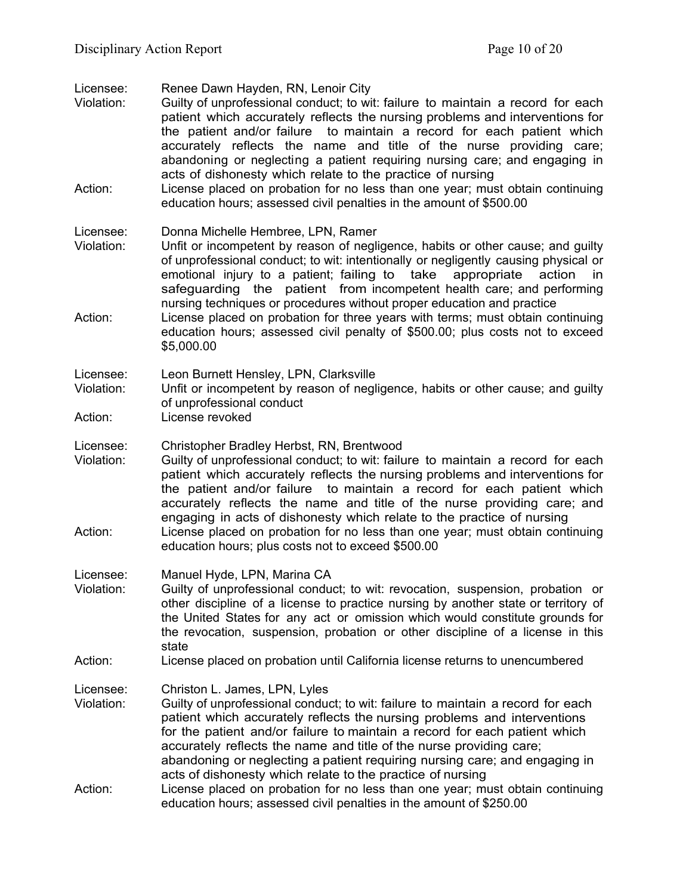Licensee: Renee Dawn Hayden, RN, Lenoir City

- Violation: Guilty of unprofessional conduct; to wit: failure to maintain a record for each patient which accurately reflects the nursing problems and interventions for the patient and/or failure to maintain a record for each patient which accurately reflects the name and title of the nurse providing care; abandoning or neglecting a patient requiring nursing care; and engaging in acts of dishonesty which relate to the practice of nursing
- Action: License placed on probation for no less than one year; must obtain continuing education hours; assessed civil penalties in the amount of \$500.00

#### Licensee: Donna Michelle Hembree, LPN, Ramer

- Violation: Unfit or incompetent by reason of negligence, habits or other cause; and guilty of unprofessional conduct; to wit: intentionally or negligently causing physical or emotional injury to a patient; failing to take appropriate action in safeguarding the patient from incompetent health care; and performing nursing techniques or procedures without proper education and practice
- Action: License placed on probation for three years with terms; must obtain continuing education hours; assessed civil penalty of \$500.00; plus costs not to exceed \$5,000.00
- Licensee: Leon Burnett Hensley, LPN, Clarksville
- Violation: Unfit or incompetent by reason of negligence, habits or other cause; and guilty of unprofessional conduct
- Action: License revoked
- Licensee: Christopher Bradley Herbst, RN, Brentwood
- Violation: Guilty of unprofessional conduct; to wit: failure to maintain a record for each patient which accurately reflects the nursing problems and interventions for the patient and/or failure to maintain a record for each patient which accurately reflects the name and title of the nurse providing care; and engaging in acts of dishonesty which relate to the practice of nursing Action: License placed on probation for no less than one year; must obtain continuing
- education hours; plus costs not to exceed \$500.00
- Licensee: Manuel Hyde, LPN, Marina CA
- Violation: Guilty of unprofessional conduct; to wit: revocation, suspension, probation or other discipline of a license to practice nursing by another state or territory of the United States for any act or omission which would constitute grounds for the revocation, suspension, probation or other discipline of a license in this state

### Action: License placed on probation until California license returns to unencumbered

- Licensee: Christon L. James, LPN, Lyles
- Violation: Guilty of unprofessional conduct; to wit: failure to maintain a record for each patient which accurately reflects the nursing problems and interventions for the patient and/or failure to maintain a record for each patient which accurately reflects the name and title of the nurse providing care; abandoning or neglecting a patient requiring nursing care; and engaging in acts of dishonesty which relate to the practice of nursing Action: License placed on probation for no less than one year; must obtain continuing education hours; assessed civil penalties in the amount of \$250.00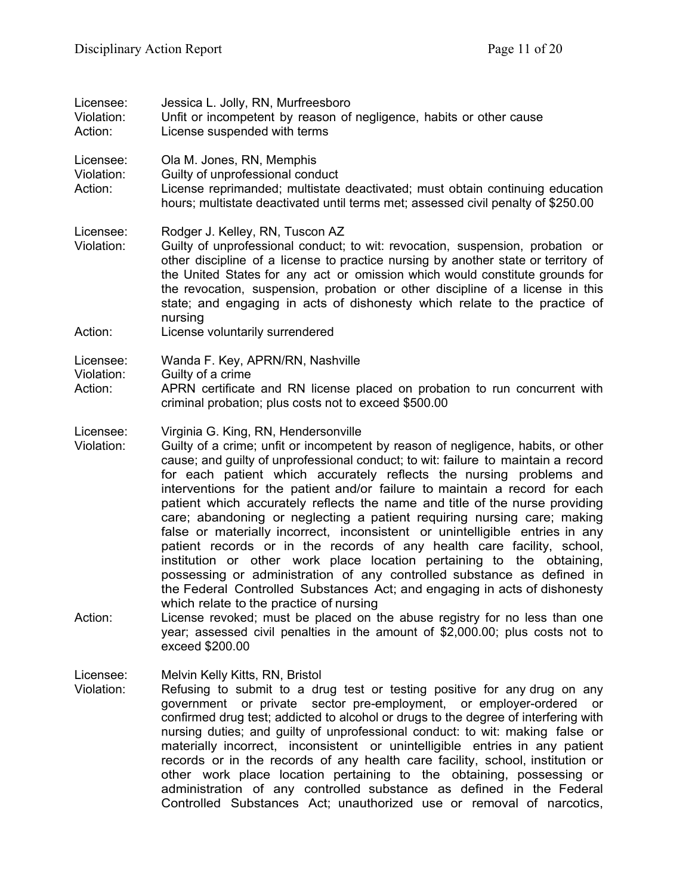| Licensee:<br>Violation:<br>Action: | Jessica L. Jolly, RN, Murfreesboro<br>Unfit or incompetent by reason of negligence, habits or other cause<br>License suspended with terms                                                                                                                                                                                                                                                                                                                                                                                                                                                                                                                                                                                                                                                                                                                                                                                                                                                                                                                                                                                                            |
|------------------------------------|------------------------------------------------------------------------------------------------------------------------------------------------------------------------------------------------------------------------------------------------------------------------------------------------------------------------------------------------------------------------------------------------------------------------------------------------------------------------------------------------------------------------------------------------------------------------------------------------------------------------------------------------------------------------------------------------------------------------------------------------------------------------------------------------------------------------------------------------------------------------------------------------------------------------------------------------------------------------------------------------------------------------------------------------------------------------------------------------------------------------------------------------------|
| Licensee:<br>Violation:<br>Action: | Ola M. Jones, RN, Memphis<br>Guilty of unprofessional conduct<br>License reprimanded; multistate deactivated; must obtain continuing education<br>hours; multistate deactivated until terms met; assessed civil penalty of \$250.00                                                                                                                                                                                                                                                                                                                                                                                                                                                                                                                                                                                                                                                                                                                                                                                                                                                                                                                  |
| Licensee:<br>Violation:<br>Action: | Rodger J. Kelley, RN, Tuscon AZ<br>Guilty of unprofessional conduct; to wit: revocation, suspension, probation or<br>other discipline of a license to practice nursing by another state or territory of<br>the United States for any act or omission which would constitute grounds for<br>the revocation, suspension, probation or other discipline of a license in this<br>state; and engaging in acts of dishonesty which relate to the practice of<br>nursing<br>License voluntarily surrendered                                                                                                                                                                                                                                                                                                                                                                                                                                                                                                                                                                                                                                                 |
| Licensee:<br>Violation:<br>Action: | Wanda F. Key, APRN/RN, Nashville<br>Guilty of a crime<br>APRN certificate and RN license placed on probation to run concurrent with<br>criminal probation; plus costs not to exceed \$500.00                                                                                                                                                                                                                                                                                                                                                                                                                                                                                                                                                                                                                                                                                                                                                                                                                                                                                                                                                         |
| Licensee:<br>Violation:<br>Action: | Virginia G. King, RN, Hendersonville<br>Guilty of a crime; unfit or incompetent by reason of negligence, habits, or other<br>cause; and guilty of unprofessional conduct; to wit: failure to maintain a record<br>for each patient which accurately reflects the nursing problems and<br>interventions for the patient and/or failure to maintain a record for each<br>patient which accurately reflects the name and title of the nurse providing<br>care; abandoning or neglecting a patient requiring nursing care; making<br>false or materially incorrect, inconsistent or unintelligible entries in any<br>patient records or in the records of any health care facility, school,<br>institution or other work place location pertaining to the obtaining,<br>possessing or administration of any controlled substance as defined in<br>the Federal Controlled Substances Act; and engaging in acts of dishonesty<br>which relate to the practice of nursing<br>License revoked; must be placed on the abuse registry for no less than one<br>year; assessed civil penalties in the amount of \$2,000.00; plus costs not to<br>exceed \$200.00 |
| Licensee:<br>Violation:            | Melvin Kelly Kitts, RN, Bristol<br>Refusing to submit to a drug test or testing positive for any drug on any<br>government or private sector pre-employment, or employer-ordered<br>or<br>confirmed drug test; addicted to alcohol or drugs to the degree of interfering with<br>nursing duties; and guilty of unprofessional conduct: to wit: making false or<br>materially incorrect, inconsistent or unintelligible entries in any patient<br>records or in the records of any health care facility, school, institution or<br>other work place location pertaining to the obtaining, possessing or                                                                                                                                                                                                                                                                                                                                                                                                                                                                                                                                               |

administration of any controlled substance as defined in the Federal Controlled Substances Act; unauthorized use or removal of narcotics,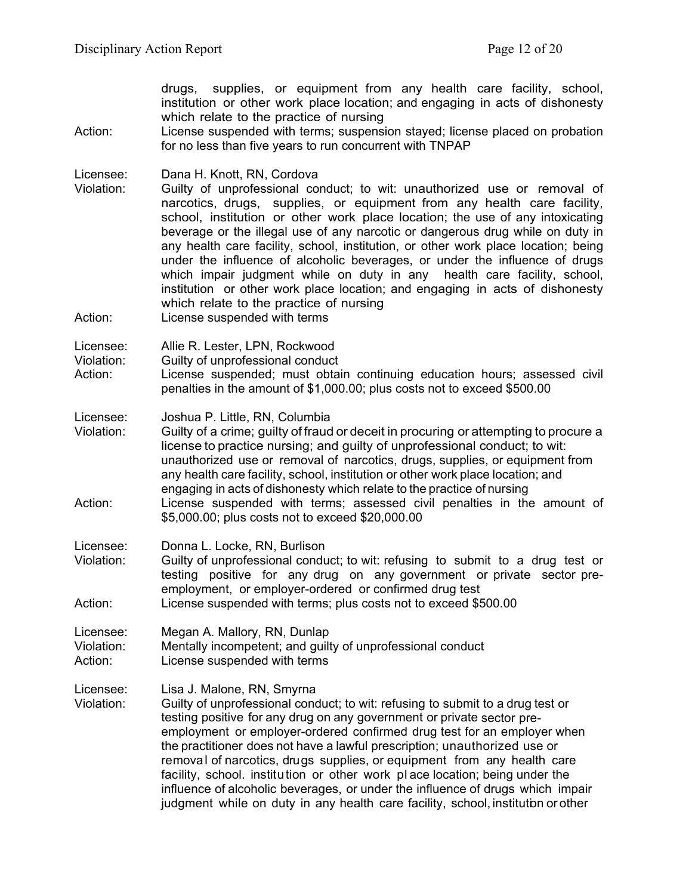drugs, supplies, or equipment from any health care facility, school, institution or other work place location; and engaging in acts of dishonesty which relate to the practice of nursing

Action: License suspended with terms; suspension stayed; license placed on probation for no less than five years to run concurrent with TNPAP

Licensee: Dana H. Knott, RN, Cordova

- Violation: Guilty of unprofessional conduct; to wit: unauthorized use or removal of narcotics, drugs, supplies, or equipment from any health care facility, school, institution or other work place location; the use of any intoxicating beverage or the illegal use of any narcotic or dangerous drug while on duty in any health care facility, school, institution, or other work place location; being under the influence of alcoholic beverages, or under the influence of drugs which impair judgment while on duty in any health care facility, school, institution or other work place location; and engaging in acts of dishonesty which relate to the practice of nursing
- Action: License suspended with terms

Licensee: Allie R. Lester, LPN, Rockwood

Violation: Guilty of unprofessional conduct

Action: License suspended; must obtain continuing education hours; assessed civil penalties in the amount of \$1,000.00; plus costs not to exceed \$500.00

Licensee: Joshua P. Little, RN, Columbia

Violation: Guilty of a crime; guilty of fraud or deceit in procuring or attempting to procure a license to practice nursing; and guilty of unprofessional conduct; to wit: unauthorized use or removal of narcotics, drugs, supplies, or equipment from any health care facility, school, institution or other work place location; and engaging in acts of dishonesty which relate to the practice of nursing Action: License suspended with terms; assessed civil penalties in the amount of \$5,000.00; plus costs not to exceed \$20,000.00

Licensee: Donna L. Locke, RN, Burlison

Violation: Guilty of unprofessional conduct; to wit: refusing to submit to a drug test or testing positive for any drug on any government or private sector preemployment, or employer-ordered or confirmed drug test Action: License suspended with terms; plus costs not to exceed \$500.00

Licensee: Megan A. Mallory, RN, Dunlap Violation: Mentally incompetent; and guilty of unprofessional conduct Action: License suspended with terms

Licensee: Lisa J. Malone, RN, Smyrna

Violation: Guilty of unprofessional conduct; to wit: refusing to submit to a drug test or testing positive for any drug on any government or private sector preemployment or employer-ordered confirmed drug test for an employer when the practitioner does not have a lawful prescription; unauthorized use or removal of narcotics, drugs supplies, or equipment from any health care facility, school. institution or other work pl ace location; being under the influence of alcoholic beverages, or under the influence of drugs which impair judgment while on duty in any health care facility, school, institution or other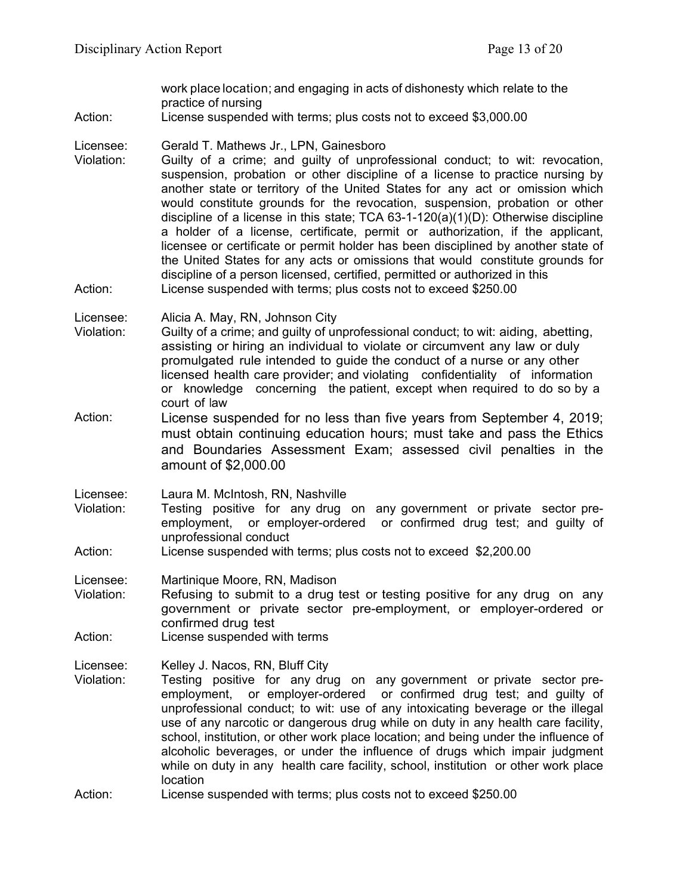work place location; and engaging in acts of dishonesty which relate to the practice of nursing

Action: License suspended with terms; plus costs not to exceed \$3,000.00

Licensee: Gerald T. Mathews Jr., LPN, Gainesboro

Violation: Guilty of a crime; and guilty of unprofessional conduct; to wit: revocation, suspension, probation or other discipline of a license to practice nursing by another state or territory of the United States for any act or omission which would constitute grounds for the revocation, suspension, probation or other discipline of a license in this state; TCA  $63-1-120(a)(1)(D)$ : Otherwise discipline a holder of a license, certificate, permit or authorization, if the applicant, licensee or certificate or permit holder has been disciplined by another state of the United States for any acts or omissions that would constitute grounds for discipline of a person licensed, certified, permitted or authorized in this Action: License suspended with terms; plus costs not to exceed \$250.00

Licensee: Alicia A. May, RN, Johnson City

- Violation: Guilty of a crime; and guilty of unprofessional conduct; to wit: aiding, abetting, assisting or hiring an individual to violate or circumvent any law or duly promulgated rule intended to guide the conduct of a nurse or any other licensed health care provider; and violating confidentiality of information or knowledge concerning the patient, except when required to do so by a court of law
- Action: License suspended for no less than five years from September 4, 2019; must obtain continuing education hours; must take and pass the Ethics and Boundaries Assessment Exam; assessed civil penalties in the amount of \$2,000.00

Licensee: Laura M. McIntosh, RN, Nashville

Violation: Testing positive for any drug on any government or private sector preemployment, or employer-ordered or confirmed drug test; and guilty of unprofessional conduct

Action: License suspended with terms; plus costs not to exceed \$2,200.00

Licensee: Martinique Moore, RN, Madison

- Violation: Refusing to submit to a drug test or testing positive for any drug on any government or private sector pre-employment, or employer-ordered or confirmed drug test
- Action: License suspended with terms

Licensee: Kelley J. Nacos, RN, Bluff City

- Violation: Testing positive for any drug on any government or private sector preemployment, or employer-ordered or confirmed drug test; and guilty of unprofessional conduct; to wit: use of any intoxicating beverage or the illegal use of any narcotic or dangerous drug while on duty in any health care facility, school, institution, or other work place location; and being under the influence of alcoholic beverages, or under the influence of drugs which impair judgment while on duty in any health care facility, school, institution or other work place location
- Action: License suspended with terms; plus costs not to exceed \$250.00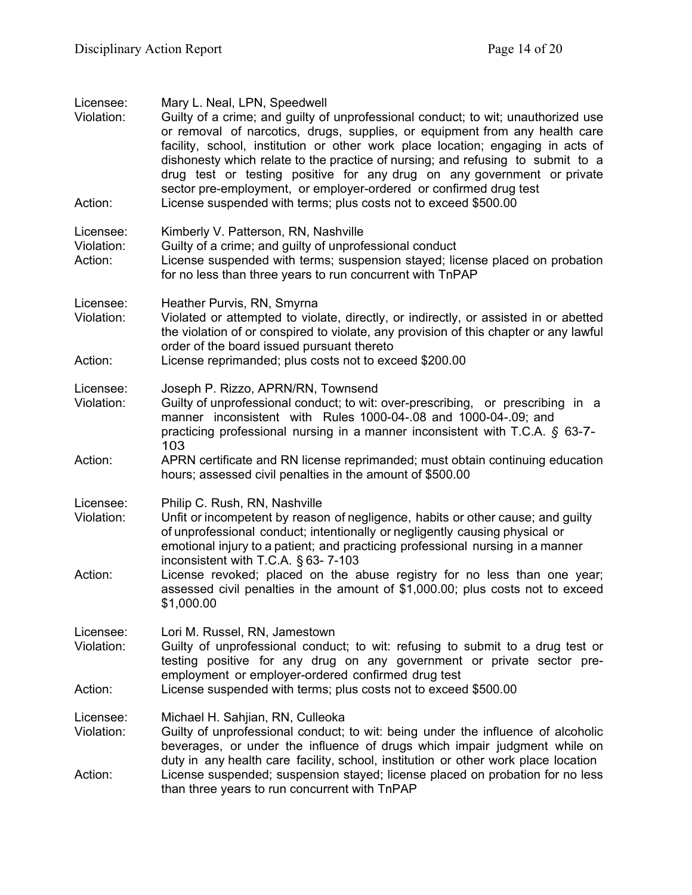| Licensee:<br>Violation:            | Mary L. Neal, LPN, Speedwell<br>Guilty of a crime; and guilty of unprofessional conduct; to wit; unauthorized use<br>or removal of narcotics, drugs, supplies, or equipment from any health care<br>facility, school, institution or other work place location; engaging in acts of<br>dishonesty which relate to the practice of nursing; and refusing to submit to a<br>drug test or testing positive for any drug on any government or private<br>sector pre-employment, or employer-ordered or confirmed drug test |
|------------------------------------|------------------------------------------------------------------------------------------------------------------------------------------------------------------------------------------------------------------------------------------------------------------------------------------------------------------------------------------------------------------------------------------------------------------------------------------------------------------------------------------------------------------------|
| Action:                            | License suspended with terms; plus costs not to exceed \$500.00                                                                                                                                                                                                                                                                                                                                                                                                                                                        |
| Licensee:<br>Violation:<br>Action: | Kimberly V. Patterson, RN, Nashville<br>Guilty of a crime; and guilty of unprofessional conduct<br>License suspended with terms; suspension stayed; license placed on probation<br>for no less than three years to run concurrent with TnPAP                                                                                                                                                                                                                                                                           |
| Licensee:<br>Violation:<br>Action: | Heather Purvis, RN, Smyrna<br>Violated or attempted to violate, directly, or indirectly, or assisted in or abetted<br>the violation of or conspired to violate, any provision of this chapter or any lawful<br>order of the board issued pursuant thereto<br>License reprimanded; plus costs not to exceed \$200.00                                                                                                                                                                                                    |
|                                    |                                                                                                                                                                                                                                                                                                                                                                                                                                                                                                                        |
| Licensee:<br>Violation:            | Joseph P. Rizzo, APRN/RN, Townsend<br>Guilty of unprofessional conduct; to wit: over-prescribing, or prescribing in a<br>manner inconsistent with Rules 1000-04-.08 and 1000-04-.09; and<br>practicing professional nursing in a manner inconsistent with T.C.A. § 63-7-<br>103                                                                                                                                                                                                                                        |
| Action:                            | APRN certificate and RN license reprimanded; must obtain continuing education<br>hours; assessed civil penalties in the amount of \$500.00                                                                                                                                                                                                                                                                                                                                                                             |
| Licensee:<br>Violation:            | Philip C. Rush, RN, Nashville<br>Unfit or incompetent by reason of negligence, habits or other cause; and guilty<br>of unprofessional conduct; intentionally or negligently causing physical or<br>emotional injury to a patient; and practicing professional nursing in a manner<br>inconsistent with T.C.A. § 63-7-103                                                                                                                                                                                               |
| Action:                            | License revoked; placed on the abuse registry for no less than one year;<br>assessed civil penalties in the amount of \$1,000.00; plus costs not to exceed<br>\$1,000.00                                                                                                                                                                                                                                                                                                                                               |
| Licensee:<br>Violation:            | Lori M. Russel, RN, Jamestown<br>Guilty of unprofessional conduct; to wit: refusing to submit to a drug test or<br>testing positive for any drug on any government or private sector pre-<br>employment or employer-ordered confirmed drug test                                                                                                                                                                                                                                                                        |
| Action:                            | License suspended with terms; plus costs not to exceed \$500.00                                                                                                                                                                                                                                                                                                                                                                                                                                                        |
| Licensee:<br>Violation:            | Michael H. Sahjian, RN, Culleoka<br>Guilty of unprofessional conduct; to wit: being under the influence of alcoholic<br>beverages, or under the influence of drugs which impair judgment while on<br>duty in any health care facility, school, institution or other work place location                                                                                                                                                                                                                                |
| Action:                            | License suspended; suspension stayed; license placed on probation for no less<br>than three years to run concurrent with TnPAP                                                                                                                                                                                                                                                                                                                                                                                         |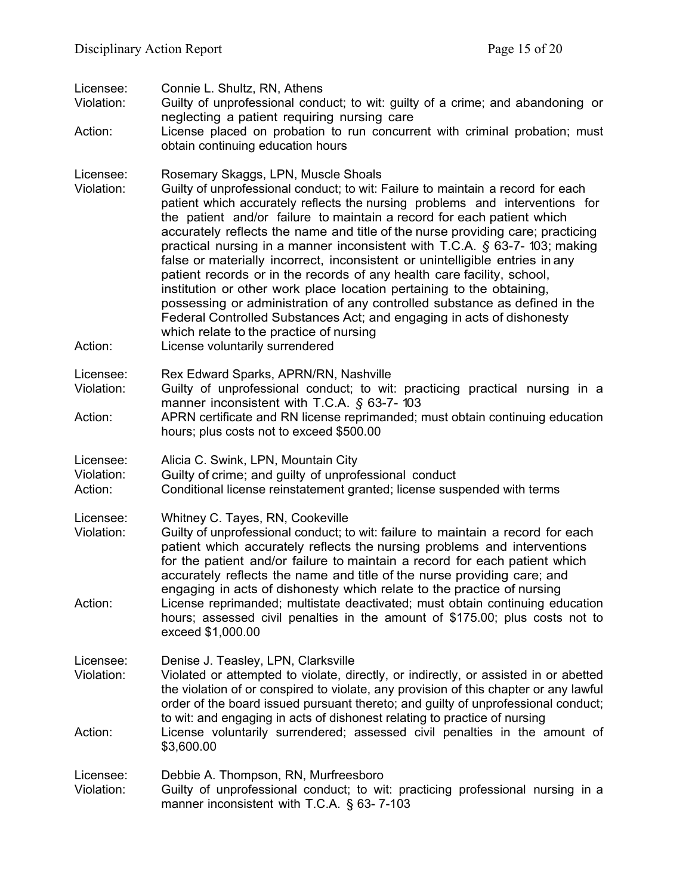| Licensee:<br>Violation:<br>Action: | Connie L. Shultz, RN, Athens<br>Guilty of unprofessional conduct; to wit: guilty of a crime; and abandoning or<br>neglecting a patient requiring nursing care<br>License placed on probation to run concurrent with criminal probation; must<br>obtain continuing education hours                                                                                                                                                                                                                                                                                                                                                                                                                                                                                                                                                                                                                                             |
|------------------------------------|-------------------------------------------------------------------------------------------------------------------------------------------------------------------------------------------------------------------------------------------------------------------------------------------------------------------------------------------------------------------------------------------------------------------------------------------------------------------------------------------------------------------------------------------------------------------------------------------------------------------------------------------------------------------------------------------------------------------------------------------------------------------------------------------------------------------------------------------------------------------------------------------------------------------------------|
| Licensee:<br>Violation:<br>Action: | Rosemary Skaggs, LPN, Muscle Shoals<br>Guilty of unprofessional conduct; to wit: Failure to maintain a record for each<br>patient which accurately reflects the nursing problems and interventions for<br>the patient and/or failure to maintain a record for each patient which<br>accurately reflects the name and title of the nurse providing care; practicing<br>practical nursing in a manner inconsistent with T.C.A. $\oint$ 63-7-103; making<br>false or materially incorrect, inconsistent or unintelligible entries in any<br>patient records or in the records of any health care facility, school,<br>institution or other work place location pertaining to the obtaining,<br>possessing or administration of any controlled substance as defined in the<br>Federal Controlled Substances Act; and engaging in acts of dishonesty<br>which relate to the practice of nursing<br>License voluntarily surrendered |
| Licensee:<br>Violation:<br>Action: | Rex Edward Sparks, APRN/RN, Nashville<br>Guilty of unprofessional conduct; to wit: practicing practical nursing in a<br>manner inconsistent with T.C.A. § 63-7-103<br>APRN certificate and RN license reprimanded; must obtain continuing education<br>hours; plus costs not to exceed \$500.00                                                                                                                                                                                                                                                                                                                                                                                                                                                                                                                                                                                                                               |
| Licensee:<br>Violation:<br>Action: | Alicia C. Swink, LPN, Mountain City<br>Guilty of crime; and guilty of unprofessional conduct<br>Conditional license reinstatement granted; license suspended with terms                                                                                                                                                                                                                                                                                                                                                                                                                                                                                                                                                                                                                                                                                                                                                       |
| Licensee:<br>Violation:<br>Action: | Whitney C. Tayes, RN, Cookeville<br>Guilty of unprofessional conduct; to wit: failure to maintain a record for each<br>patient which accurately reflects the nursing problems and interventions<br>for the patient and/or failure to maintain a record for each patient which<br>accurately reflects the name and title of the nurse providing care; and<br>engaging in acts of dishonesty which relate to the practice of nursing<br>License reprimanded; multistate deactivated; must obtain continuing education<br>hours; assessed civil penalties in the amount of \$175.00; plus costs not to<br>exceed \$1,000.00                                                                                                                                                                                                                                                                                                      |
| Licensee:<br>Violation:<br>Action: | Denise J. Teasley, LPN, Clarksville<br>Violated or attempted to violate, directly, or indirectly, or assisted in or abetted<br>the violation of or conspired to violate, any provision of this chapter or any lawful<br>order of the board issued pursuant thereto; and guilty of unprofessional conduct;<br>to wit: and engaging in acts of dishonest relating to practice of nursing<br>License voluntarily surrendered; assessed civil penalties in the amount of                                                                                                                                                                                                                                                                                                                                                                                                                                                          |
| Licensee:<br>Violation:            | \$3,600.00<br>Debbie A. Thompson, RN, Murfreesboro<br>Guilty of unprofessional conduct; to wit: practicing professional nursing in a<br>manner inconsistent with T.C.A. § 63-7-103                                                                                                                                                                                                                                                                                                                                                                                                                                                                                                                                                                                                                                                                                                                                            |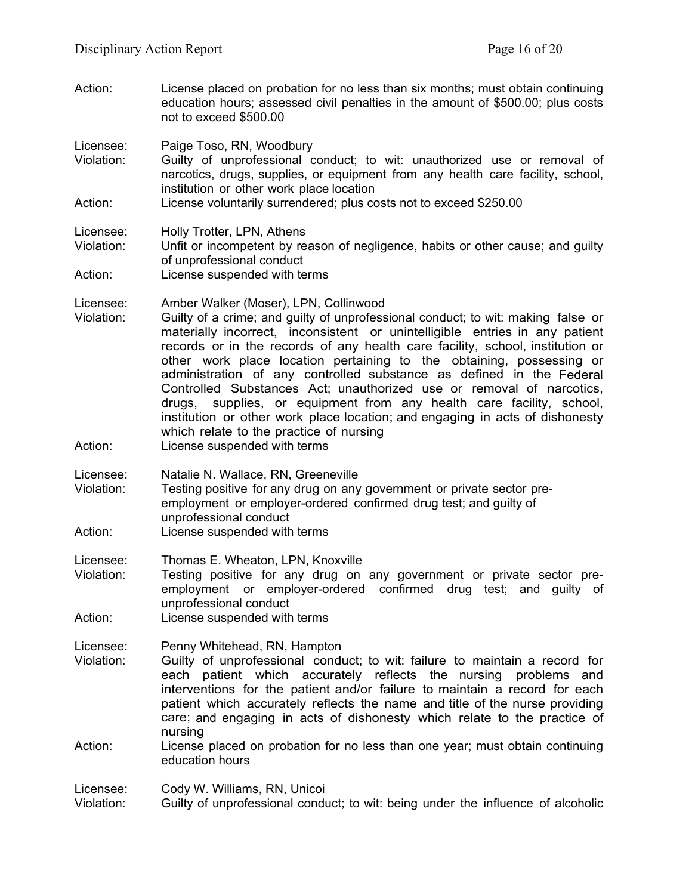Action: License placed on probation for no less than six months; must obtain continuing education hours; assessed civil penalties in the amount of \$500.00; plus costs not to exceed \$500.00

Licensee: Paige Toso, RN, Woodbury

- Violation: Guilty of unprofessional conduct; to wit: unauthorized use or removal of narcotics, drugs, supplies, or equipment from any health care facility, school, institution or other work place location
- Action: License voluntarily surrendered; plus costs not to exceed \$250.00

Licensee: Holly Trotter, LPN, Athens

Violation: Unfit or incompetent by reason of negligence, habits or other cause; and guilty of unprofessional conduct

Action: License suspended with terms

Licensee: Amber Walker (Moser), LPN, Collinwood

- Violation: Guilty of a crime; and guilty of unprofessional conduct; to wit: making false or materially incorrect, inconsistent or unintelligible entries in any patient records or in the records of any health care facility, school, institution or other work place location pertaining to the obtaining, possessing or administration of any controlled substance as defined in the Federal Controlled Substances Act; unauthorized use or removal of narcotics, drugs, supplies, or equipment from any health care facility, school, institution or other work place location; and engaging in acts of dishonesty which relate to the practice of nursing
- Action: License suspended with terms
- Licensee: Natalie N. Wallace, RN, Greeneville
- Violation: Testing positive for any drug on any government or private sector preemployment or employer-ordered confirmed drug test; and guilty of unprofessional conduct
- Action: License suspended with terms

Licensee: Thomas E. Wheaton, LPN, Knoxville

- Violation: Testing positive for any drug on any government or private sector preemployment or employer-ordered confirmed drug test; and guilty of unprofessional conduct
- Action: License suspended with terms

Licensee: Penny Whitehead, RN, Hampton

- Violation: Guilty of unprofessional conduct; to wit: failure to maintain a record for each patient which accurately reflects the nursing problems and interventions for the patient and/or failure to maintain a record for each patient which accurately reflects the name and title of the nurse providing care; and engaging in acts of dishonesty which relate to the practice of nursing
- Action: License placed on probation for no less than one year; must obtain continuing education hours

Licensee: Cody W. Williams, RN, Unicoi

Violation: Guilty of unprofessional conduct; to wit: being under the influence of alcoholic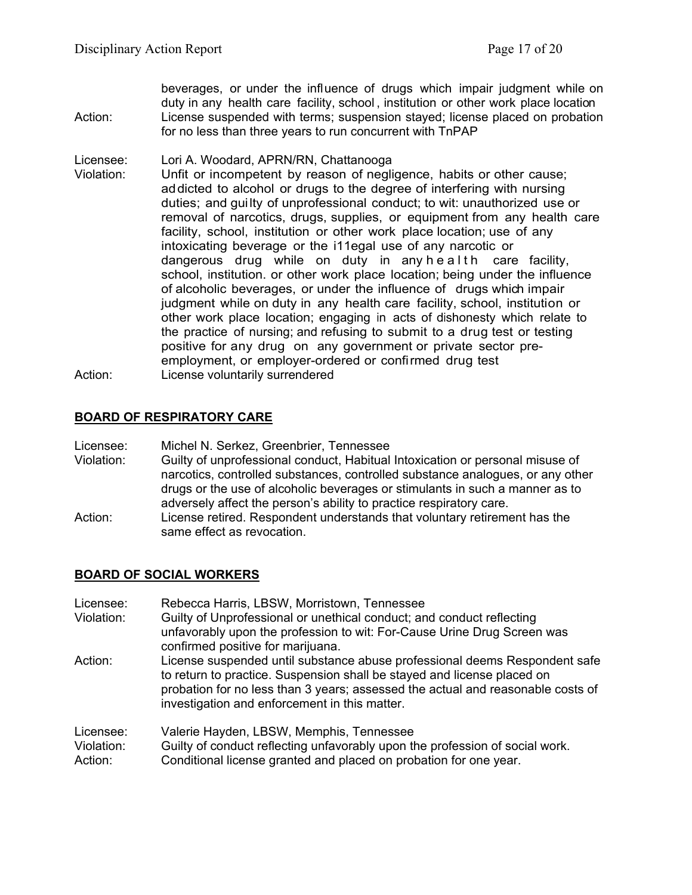| Action:                 | beverages, or under the influence of drugs which impair judgment while on<br>duty in any health care facility, school, institution or other work place location<br>License suspended with terms; suspension stayed; license placed on probation<br>for no less than three years to run concurrent with TnPAP                                                                                                                                                                                                                                                                                                                                                                                                                                                                                                                                                                                                                                                                                                                                                                       |
|-------------------------|------------------------------------------------------------------------------------------------------------------------------------------------------------------------------------------------------------------------------------------------------------------------------------------------------------------------------------------------------------------------------------------------------------------------------------------------------------------------------------------------------------------------------------------------------------------------------------------------------------------------------------------------------------------------------------------------------------------------------------------------------------------------------------------------------------------------------------------------------------------------------------------------------------------------------------------------------------------------------------------------------------------------------------------------------------------------------------|
| Licensee:<br>Violation: | Lori A. Woodard, APRN/RN, Chattanooga<br>Unfit or incompetent by reason of negligence, habits or other cause;<br>addicted to alcohol or drugs to the degree of interfering with nursing<br>duties; and guilty of unprofessional conduct; to wit: unauthorized use or<br>removal of narcotics, drugs, supplies, or equipment from any health care<br>facility, school, institution or other work place location; use of any<br>intoxicating beverage or the i11egal use of any narcotic or<br>dangerous drug while on duty in any health care facility,<br>school, institution. or other work place location; being under the influence<br>of alcoholic beverages, or under the influence of drugs which impair<br>judgment while on duty in any health care facility, school, institution or<br>other work place location; engaging in acts of dishonesty which relate to<br>the practice of nursing; and refusing to submit to a drug test or testing<br>positive for any drug on any government or private sector pre-<br>employment, or employer-ordered or confirmed drug test |

Action: License voluntarily surrendered

### **BOARD OF RESPIRATORY CARE**

Licensee: Michel N. Serkez, Greenbrier, Tennessee<br>Violation: Guilty of unprofessional conduct, Habitual Guilty of unprofessional conduct, Habitual Intoxication or personal misuse of narcotics, controlled substances, controlled substance analogues, or any other drugs or the use of alcoholic beverages or stimulants in such a manner as to adversely affect the person's ability to practice respiratory care.

Action: License retired. Respondent understands that voluntary retirement has the same effect as revocation.

### **BOARD OF SOCIAL WORKERS**

| Licensee:             | Rebecca Harris, LBSW, Morristown, Tennessee                                                                                                                                                                                                                                               |
|-----------------------|-------------------------------------------------------------------------------------------------------------------------------------------------------------------------------------------------------------------------------------------------------------------------------------------|
| Violation:            | Guilty of Unprofessional or unethical conduct; and conduct reflecting                                                                                                                                                                                                                     |
|                       | unfavorably upon the profession to wit: For-Cause Urine Drug Screen was<br>confirmed positive for marijuana.                                                                                                                                                                              |
| Action:               | License suspended until substance abuse professional deems Respondent safe<br>to return to practice. Suspension shall be stayed and license placed on<br>probation for no less than 3 years; assessed the actual and reasonable costs of<br>investigation and enforcement in this matter. |
| Licensee:             | Valerie Hayden, LBSW, Memphis, Tennessee                                                                                                                                                                                                                                                  |
| Violation:<br>Action: | Guilty of conduct reflecting unfavorably upon the profession of social work.<br>Conditional license granted and placed on probation for one year.                                                                                                                                         |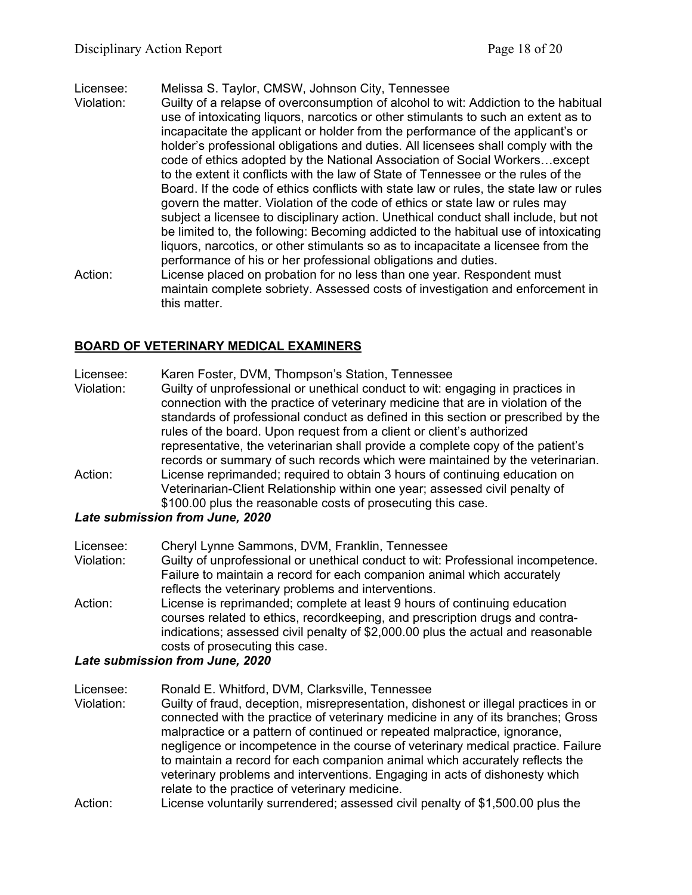Licensee: Melissa S. Taylor, CMSW, Johnson City, Tennessee

- Violation: Guilty of a relapse of overconsumption of alcohol to wit: Addiction to the habitual use of intoxicating liquors, narcotics or other stimulants to such an extent as to incapacitate the applicant or holder from the performance of the applicant's or holder's professional obligations and duties. All licensees shall comply with the code of ethics adopted by the National Association of Social Workers…except to the extent it conflicts with the law of State of Tennessee or the rules of the Board. If the code of ethics conflicts with state law or rules, the state law or rules govern the matter. Violation of the code of ethics or state law or rules may subject a licensee to disciplinary action. Unethical conduct shall include, but not be limited to, the following: Becoming addicted to the habitual use of intoxicating liquors, narcotics, or other stimulants so as to incapacitate a licensee from the performance of his or her professional obligations and duties.
- Action: License placed on probation for no less than one year. Respondent must maintain complete sobriety. Assessed costs of investigation and enforcement in this matter.

## **BOARD OF VETERINARY MEDICAL EXAMINERS**

- Licensee: Karen Foster, DVM, Thompson's Station, Tennessee
- Violation: Guilty of unprofessional or unethical conduct to wit: engaging in practices in connection with the practice of veterinary medicine that are in violation of the standards of professional conduct as defined in this section or prescribed by the rules of the board. Upon request from a client or client's authorized representative, the veterinarian shall provide a complete copy of the patient's records or summary of such records which were maintained by the veterinarian. Action: License reprimanded; required to obtain 3 hours of continuing education on Veterinarian-Client Relationship within one year; assessed civil penalty of \$100.00 plus the reasonable costs of prosecuting this case.

## *Late submission from June, 2020*

- Licensee: Cheryl Lynne Sammons, DVM, Franklin, Tennessee
- Violation: Guilty of unprofessional or unethical conduct to wit: Professional incompetence. Failure to maintain a record for each companion animal which accurately reflects the veterinary problems and interventions.
- Action: License is reprimanded; complete at least 9 hours of continuing education courses related to ethics, recordkeeping, and prescription drugs and contraindications; assessed civil penalty of \$2,000.00 plus the actual and reasonable costs of prosecuting this case.

## *Late submission from June, 2020*

Licensee: Ronald E. Whitford, DVM, Clarksville, Tennessee

- Violation: Guilty of fraud, deception, misrepresentation, dishonest or illegal practices in or connected with the practice of veterinary medicine in any of its branches; Gross malpractice or a pattern of continued or repeated malpractice, ignorance, negligence or incompetence in the course of veterinary medical practice. Failure to maintain a record for each companion animal which accurately reflects the veterinary problems and interventions. Engaging in acts of dishonesty which relate to the practice of veterinary medicine.
- Action: License voluntarily surrendered; assessed civil penalty of \$1,500.00 plus the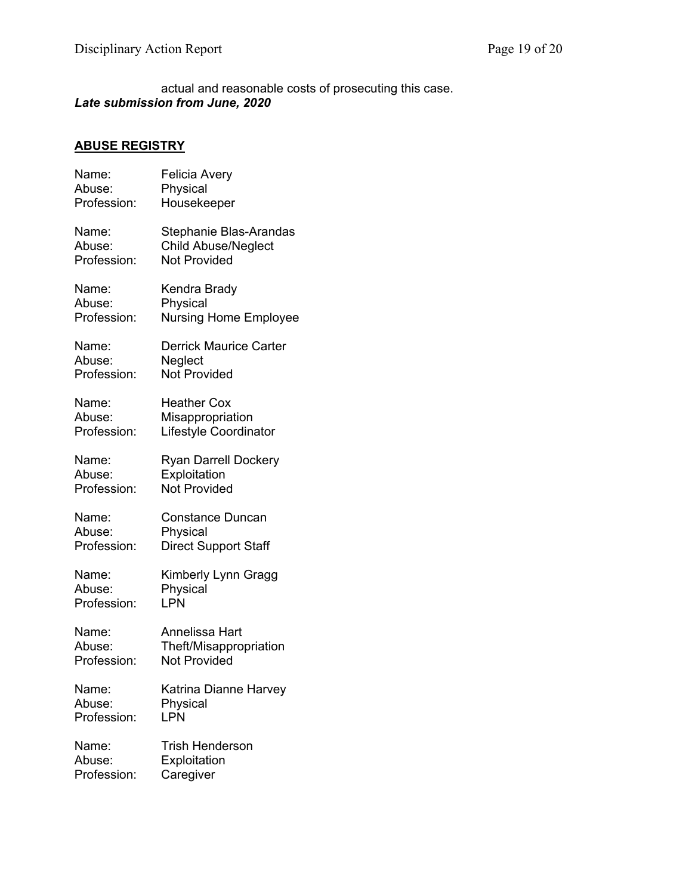actual and reasonable costs of prosecuting this case. *Late submission from June, 2020*

# **ABUSE REGISTRY**

| Name:       | Felicia Avery                 |
|-------------|-------------------------------|
| Abuse:      | Physical                      |
| Profession: | Housekeeper                   |
| Name:       | Stephanie Blas-Arandas        |
| Abuse:      | <b>Child Abuse/Neglect</b>    |
| Profession: | <b>Not Provided</b>           |
| Name:       | Kendra Brady                  |
| Abuse:      | Physical                      |
| Profession: | <b>Nursing Home Employee</b>  |
| Name:       | <b>Derrick Maurice Carter</b> |
| Abuse:      | Neglect                       |
| Profession: | <b>Not Provided</b>           |
| Name:       | <b>Heather Cox</b>            |
| Abuse:      | Misappropriation              |
| Profession: | Lifestyle Coordinator         |
| Name:       | <b>Ryan Darrell Dockery</b>   |
| Abuse:      | Exploitation                  |
| Profession: | <b>Not Provided</b>           |
| Name:       | <b>Constance Duncan</b>       |
| Abuse:      | Physical                      |
| Profession: | <b>Direct Support Staff</b>   |
| Name:       | Kimberly Lynn Gragg           |
| Abuse:      | Physical                      |
| Profession: | <b>LPN</b>                    |
| Name:       | Annelissa Hart                |
| Abuse:      | Theft/Misappropriation        |
| Profession: | <b>Not Provided</b>           |
| Name:       | Katrina Dianne Harvey         |
| Abuse:      | Physical                      |
| Profession: | LPN                           |
| Name:       | <b>Trish Henderson</b>        |
| Abuse:      | Exploitation                  |
| Profession: | Caregiver                     |
|             |                               |